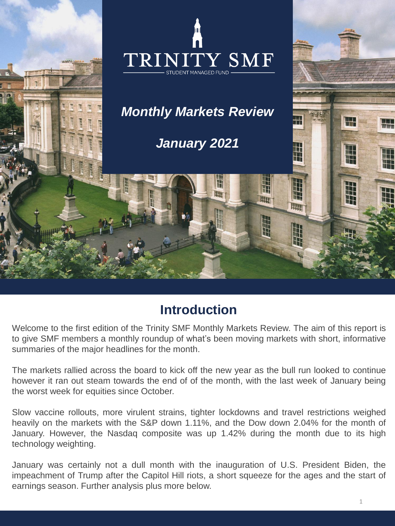

## **Introduction**

Welcome to the first edition of the Trinity SMF Monthly Markets Review. The aim of this report is to give SMF members a monthly roundup of what's been moving markets with short, informative summaries of the major headlines for the month.

The markets rallied across the board to kick off the new year as the bull run looked to continue however it ran out steam towards the end of of the month, with the last week of January being the worst week for equities since October.

Slow vaccine rollouts, more virulent strains, tighter lockdowns and travel restrictions weighed heavily on the markets with the S&P down 1.11%, and the Dow down 2.04% for the month of January. However, the Nasdaq composite was up 1.42% during the month due to its high technology weighting.

January was certainly not a dull month with the inauguration of U.S. President Biden, the impeachment of Trump after the Capitol Hill riots, a short squeeze for the ages and the start of earnings season. Further analysis plus more below.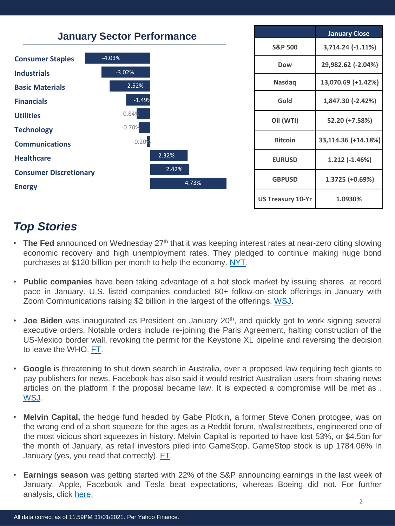![](_page_1_Figure_0.jpeg)

# *Top Stories*

- **The Fed** announced on Wednesday 27<sup>th</sup> that it was keeping interest rates at near-zero citing slowing economic recovery and high unemployment rates. They pledged to continue making huge bond purchases at \$120 billion per month to help the economy. [NYT](https://www.nytimes.com/2021/01/27/business/economy/fed-interest-rates-economy.html).
- **Public companies** have been taking advantage of a hot stock market by issuing shares at record pace in January. U.S. listed companies conducted 80+ follow-on stock offerings in January with Zoom Communications raising \$2 billion in the largest of the offerings. [WSJ](https://www.wsj.com/articles/companies-are-selling-stock-at-record-pace-to-start-the-year-11611321362?mod=business_lead_pos6).
- **Joe Biden** was inaugurated as President on January 20<sup>th</sup>, and quickly got to work signing several executive orders. Notable orders include re-joining the Paris Agreement, halting construction of the US-Mexico border wall, revoking the permit for the Keystone XL pipeline and reversing the decision to leave the WHO. [FT](https://www.ft.com/content/7e717f1e-2868-375d-889c-50acc0ab9c19).
- **Google** is threatening to shut down search in Australia, over a proposed law requiring tech giants to pay publishers for news. Facebook has also said it would restrict Australian users from sharing news articles on the platform if the proposal became law. It is expected a compromise will be met as . [WSJ](https://www.wsj.com/articles/google-escalates-dispute-with-australia-by-threatening-search-shutdown-11611298523#refreshed?mod=business_lead_pos1).
- **Melvin Capital,** the hedge fund headed by Gabe Plotkin, a former Steve Cohen protogee, was on the wrong end of a short squeeze for the ages as a Reddit forum, r/wallstreetbets, engineered one of the most vicious short squeezes in history. Melvin Capital is reported to have lost 53%, or \$4.5bn for the month of January, as retail investors piled into GameStop. GameStop stock is up 1784.06% In January (yes, you read that correctly). [FT](https://www.ft.com/content/fa74a7c6-bcb0-469e-8b76-c5dfc04b9564).
- **Earnings season** was getting started with 22% of the S&P announcing earnings in the last week of January. Apple, Facebook and Tesla beat expectations, whereas Boeing did not. For further analysis, click [here.](https://www.wsj.com/livecoverage/apple-facebook-tesla-earnings-january-2021)